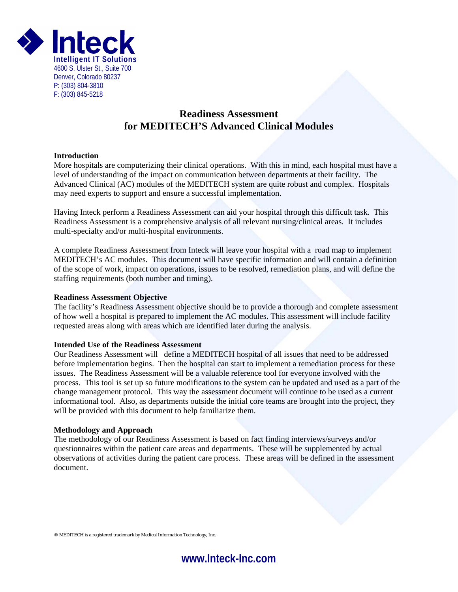

# **Readiness Assessment for MEDITECH'S Advanced Clinical Modules**

### **Introduction**

More hospitals are computerizing their clinical operations. With this in mind, each hospital must have a level of understanding of the impact on communication between departments at their facility. The Advanced Clinical (AC) modules of the MEDITECH system are quite robust and complex. Hospitals may need experts to support and ensure a successful implementation.

Having Inteck perform a Readiness Assessment can aid your hospital through this difficult task. This Readiness Assessment is a comprehensive analysis of all relevant nursing/clinical areas. It includes multi-specialty and/or multi-hospital environments.

A complete Readiness Assessment from Inteck will leave your hospital with a road map to implement MEDITECH's AC modules. This document will have specific information and will contain a definition of the scope of work, impact on operations, issues to be resolved, remediation plans, and will define the staffing requirements (both number and timing).

#### **Readiness Assessment Objective**

The facility's Readiness Assessment objective should be to provide a thorough and complete assessment of how well a hospital is prepared to implement the AC modules. This assessment will include facility requested areas along with areas which are identified later during the analysis.

## **Intended Use of the Readiness Assessment**

Our Readiness Assessment will define a MEDITECH hospital of all issues that need to be addressed before implementation begins. Then the hospital can start to implement a remediation process for these issues. The Readiness Assessment will be a valuable reference tool for everyone involved with the process. This tool is set up so future modifications to the system can be updated and used as a part of the change management protocol. This way the assessment document will continue to be used as a current informational tool. Also, as departments outside the initial core teams are brought into the project, they will be provided with this document to help familiarize them.

#### **Methodology and Approach**

The methodology of our Readiness Assessment is based on fact finding interviews/surveys and/or questionnaires within the patient care areas and departments. These will be supplemented by actual observations of activities during the patient care process. These areas will be defined in the assessment document.